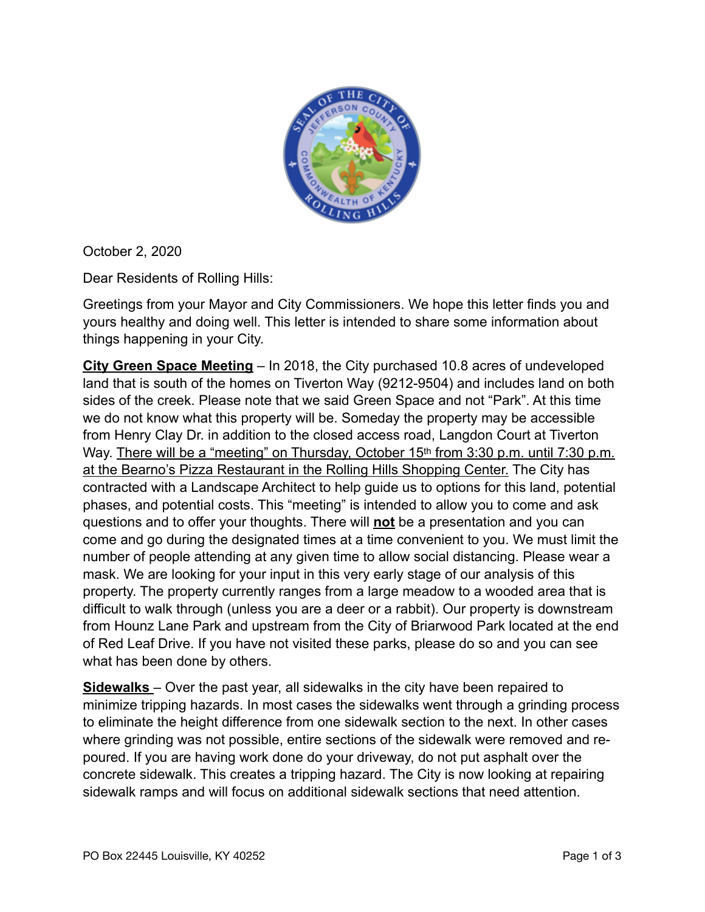

October 2, 2020

Dear Residents of Rolling Hills:

Greetings from your Mayor and City Commissioners. We hope this letter finds you and yours healthy and doing well. This letter is intended to share some information about things happening in your City.

**City Green Space Meeting** – In 2018, the City purchased 10.8 acres of undeveloped land that is south of the homes on Tiverton Way (9212-9504) and includes land on both sides of the creek. Please note that we said Green Space and not "Park". At this time we do not know what this property will be. Someday the property may be accessible from Henry Clay Dr. in addition to the closed access road, Langdon Court at Tiverton Way. There will be a "meeting" on Thursday, October 15<sup>th</sup> from 3:30 p.m. until 7:30 p.m. at the Bearno's Pizza Restaurant in the Rolling Hills Shopping Center. The City has contracted with a Landscape Architect to help guide us to options for this land, potential phases, and potential costs. This "meeting" is intended to allow you to come and ask questions and to offer your thoughts. There will **not** be a presentation and you can come and go during the designated times at a time convenient to you. We must limit the number of people attending at any given time to allow social distancing. Please wear a mask. We are looking for your input in this very early stage of our analysis of this property. The property currently ranges from a large meadow to a wooded area that is difficult to walk through (unless you are a deer or a rabbit). Our property is downstream from Hounz Lane Park and upstream from the City of Briarwood Park located at the end of Red Leaf Drive. If you have not visited these parks, please do so and you can see what has been done by others.

**Sidewalks** – Over the past year, all sidewalks in the city have been repaired to minimize tripping hazards. In most cases the sidewalks went through a grinding process to eliminate the height difference from one sidewalk section to the next. In other cases where grinding was not possible, entire sections of the sidewalk were removed and repoured. If you are having work done do your driveway, do not put asphalt over the concrete sidewalk. This creates a tripping hazard. The City is now looking at repairing sidewalk ramps and will focus on additional sidewalk sections that need attention.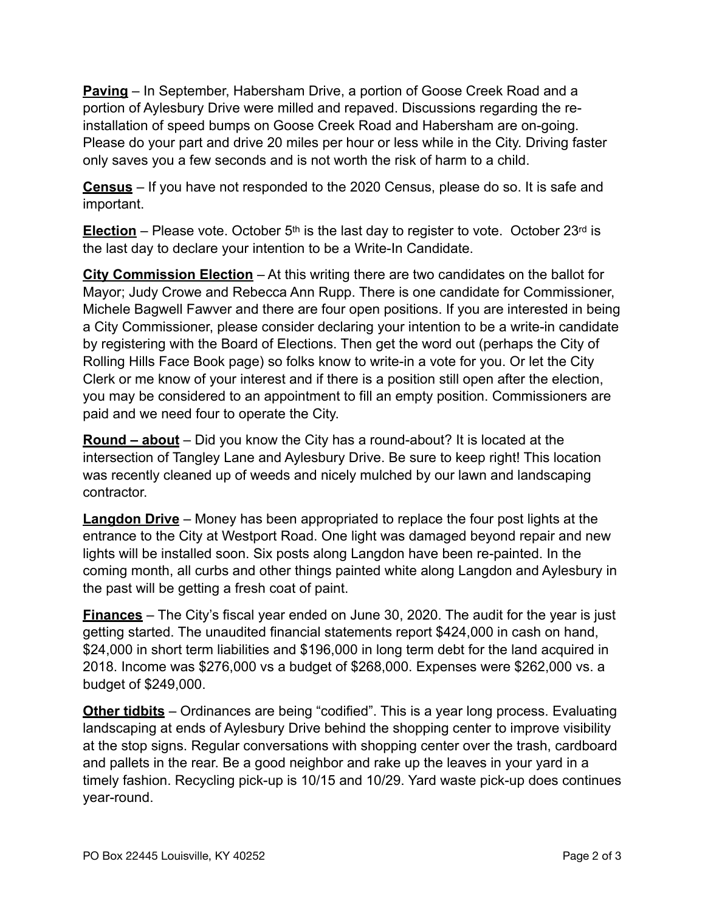**Paving** – In September, Habersham Drive, a portion of Goose Creek Road and a portion of Aylesbury Drive were milled and repaved. Discussions regarding the reinstallation of speed bumps on Goose Creek Road and Habersham are on-going. Please do your part and drive 20 miles per hour or less while in the City. Driving faster only saves you a few seconds and is not worth the risk of harm to a child.

**Census** – If you have not responded to the 2020 Census, please do so. It is safe and important.

**Election** – Please vote. October  $5<sup>th</sup>$  is the last day to register to vote. October 23<sup>rd</sup> is the last day to declare your intention to be a Write-In Candidate.

**City Commission Election** – At this writing there are two candidates on the ballot for Mayor; Judy Crowe and Rebecca Ann Rupp. There is one candidate for Commissioner, Michele Bagwell Fawver and there are four open positions. If you are interested in being a City Commissioner, please consider declaring your intention to be a write-in candidate by registering with the Board of Elections. Then get the word out (perhaps the City of Rolling Hills Face Book page) so folks know to write-in a vote for you. Or let the City Clerk or me know of your interest and if there is a position still open after the election, you may be considered to an appointment to fill an empty position. Commissioners are paid and we need four to operate the City.

**Round – about** – Did you know the City has a round-about? It is located at the intersection of Tangley Lane and Aylesbury Drive. Be sure to keep right! This location was recently cleaned up of weeds and nicely mulched by our lawn and landscaping contractor.

**Langdon Drive** – Money has been appropriated to replace the four post lights at the entrance to the City at Westport Road. One light was damaged beyond repair and new lights will be installed soon. Six posts along Langdon have been re-painted. In the coming month, all curbs and other things painted white along Langdon and Aylesbury in the past will be getting a fresh coat of paint.

**Finances** – The City's fiscal year ended on June 30, 2020. The audit for the year is just getting started. The unaudited financial statements report \$424,000 in cash on hand, \$24,000 in short term liabilities and \$196,000 in long term debt for the land acquired in 2018. Income was \$276,000 vs a budget of \$268,000. Expenses were \$262,000 vs. a budget of \$249,000.

**Other tidbits** – Ordinances are being "codified". This is a year long process. Evaluating landscaping at ends of Aylesbury Drive behind the shopping center to improve visibility at the stop signs. Regular conversations with shopping center over the trash, cardboard and pallets in the rear. Be a good neighbor and rake up the leaves in your yard in a timely fashion. Recycling pick-up is 10/15 and 10/29. Yard waste pick-up does continues year-round.